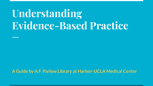# **Understanding Evidence-Based Practice**

**A Guide by A.F. Parlow Library at Harbor-UCLA Medical Center**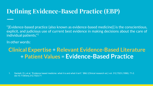# **Defining Evidence-Based Practice (EBP)**

"[Evidence-based practice (also known as evidence-based medicine)] is the conscientious, explicit, and judicious use of current best evidence in making decisions about the care of individual patients."1

In other words:

## **Clinical Expertise** + **Relevant Evidence-Based Literature** + **Patient Values** = **Evidence-Based Practice**

1. Sackett, D L et al. "Evidence based medicine: what it is and what it isn't." *BMJ (Clinical research ed.)* vol. 312,7023 (1996): 71-2. doi:10.1136/bmj.312.7023.71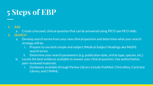# **5 Steps of EBP**

#### **1. ASK**

a. Create a focused, clinical question that can be answered using PICO (*see PICO slide*).

#### **2. SEARCH**

- a. Develop search terms from your new clinical question and determine what your search strategy will be.
	- i. Prepare to use both simple and subject (Medical Subject Headings aka MeSH) search terms.
	- ii. Determine your search parameters (e.g. publication date, article type, species, etc.)
- b. Locate the best evidence available to answer your clinical question. Use authoritative, peer-reviewed materials.
	- i. Databases available through Parlow Library include PubMed, ClinicalKey, Cochrane Library, and CINAHL.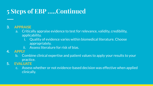# **5 Steps of EBP …..Continued**

#### **3. APPRAISE**

- a. Critically appraise evidence to test for relevance, validity, credibility, applicability.
	- i. Quality of evidence varies within biomedical literature. Choose appropriately.
	- ii. Assess literature for risk of bias.

#### **4. APPLY**

- b. Combine clinical expertise and patient values to apply your results to your practice.
- **5. EVALUATE**
	- c. Assess whether or not evidence-based decision was effective when applied clinically.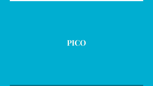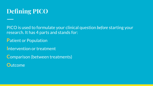

PICO is used to formulate your clinical question *before* starting your research. It has 4 parts and stands for:

**P**atient or Population

**I**ntervention or treatment

**C**omparison (between treatments)

**O**utcome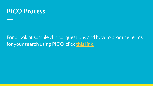

### For a look at sample clinical questions and how to produce terms for your search using PICO, click **[this link.](https://library.harbor-ucla.org/sites/default/files/file_resources/What-is-the-PICO-Process-Handout.pdf)**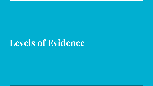# **Levels of Evidence**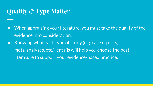## **Quality & Type Matter**

- When appraising your literature, you must take the quality of the evidence into consideration.
- Knowing what each type of study (e.g. case reports, meta-analyses, etc.) entails will help you choose the best literature to support your evidence-based practice.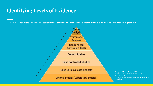### **Identifying Levels of Evidence**

Start from the top of the pyramid when searching the literature. If you cannot find evidence within a level, work down to the next highest level.



Dahlgreen Memorial Library (2021). Evidence-based Medicine Resource Guide. Retrieved from: https://guides.dml.georgetown.edu/ebm/ebmclinica **lauestions**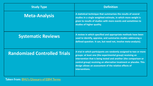| <b>Study Type</b>                   | <b>Definition</b>                                                                                                                                                                                                                                                                                                                                      |
|-------------------------------------|--------------------------------------------------------------------------------------------------------------------------------------------------------------------------------------------------------------------------------------------------------------------------------------------------------------------------------------------------------|
| <b>Meta-Analysis</b>                | A statistical technique that summarizes the results of several<br>studies in a single weighted estimate, in which more weight is<br>given to results of studies with more events and sometimes to<br>studies of higher quality.                                                                                                                        |
| <b>Systematic Reviews</b>           | A review in which specified and appropriate methods have been<br>used to identify, appraise, and summaries studies addressing a<br>defined question. It can, but need not, involve meta-analysis).                                                                                                                                                     |
| <b>Randomized Controlled Trials</b> | A trial in which participants are randomly assigned to two or more<br>groups: at least one (the experimental group) receiving an<br>intervention that is being tested and another (the comparison or<br>control group) receiving an alternative treatment or placebo. This<br>design allows an assessment of the relative effects of<br>interventions. |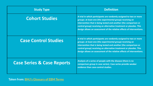| <b>Study Type</b>                     | <b>Definition</b>                                                                                                                                                                                                                                                                                                                                   |
|---------------------------------------|-----------------------------------------------------------------------------------------------------------------------------------------------------------------------------------------------------------------------------------------------------------------------------------------------------------------------------------------------------|
| <b>Cohort Studies</b>                 | A trial in which participants are randomly assigned to two or more<br>groups: at least one (the experimental group) receiving an<br>intervention that is being tested and another (the comparison or<br>control group) receiving an alternative treatment or placebo. This<br>design allows an assessment of the relative effects of interventions. |
| <b>Case Control Studies</b>           | A trial in which participants are randomly assigned to two or more<br>groups: at least one (the experimental group) receiving an<br>intervention that is being tested and another (the comparison or<br>control group) receiving an alternative treatment or placebo. This<br>design allows an assessment of the relative effects of interventions. |
| <b>Case Series &amp; Case Reports</b> | Analysis of a series of people with the disease (there is no<br>comparison group in case series). Case series provide weaker<br>evidence than case-control studies.                                                                                                                                                                                 |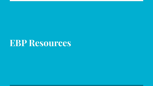# **EBP Resources**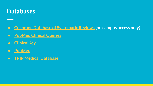

### ● **[Cochrane Database of Systematic Reviews](https://www.cochranelibrary.com/) (on campus access only)**

- **● [PubMed Clinical Queries](https://journals.parlowlibrary.org:8443/login?url=http://www.ncbi.nlm.nih.gov/pubmed/clinical/)**
- **● [ClinicalKey](https://journals.parlowlibrary.org:8443/login?url=https://www.clinicalkey.com/)**
- **● [PubMed](https://journals.parlowlibrary.org:8443/login?url=https://pubmed.ncbi.nlm.nih.gov/?otool=cauhuclib)**
- **● [TRIP Medical Database](https://www.tripdatabase.com/)**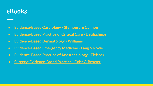## **eBooks**

- **● [Evidence-Based Cardiology Steinburg & Cannon](https://journals.parlowlibrary.org:8443/login?url=https://search.ebscohost.com/login.aspx?direct=true&scope=site&db=e600xww&AN=1473054)**
- **● [Evidence-Based Practice of Critical Care Deutschman](https://journals.parlowlibrary.org:8443/login?url=https://www.clinicalkey.com/dura/browse/bookChapter/3-s2.0-C20170034249)**
- **● [Evidence-Based Dermatology Williams](https://journals.parlowlibrary.org:8443/login?url=https://online.statref.com/p/368?grpAlias=HUCLAMCLAB)**
- **● [Evidence-Based Emergency Medicine Lang & Rowe](https://journals.parlowlibrary.org:8443/login?url=https://search.ebscohost.com/login.aspx?direct=true&scope=site&db=e600xww&AN=267089)**
- **● [Evidence-Based Practice of Anesthesiology Fleisher](https://journals.parlowlibrary.org:8443/login?url=https://www.clinicalkey.com/dura/browse/bookChapter/3-s2.0-C20110057149)**
- **● [Surgery: Evidence-Based Practice Cohn & Brower](https://journals.parlowlibrary.org:8443/login?url=https://search.ebscohost.com/login.aspx?direct=true&scope=site&db=e600xww&AN=614322)**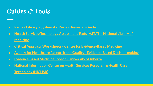# **Guides & Tools**

- **● [Parlow Library's Systematic Review Research Guide](https://library.harbor-ucla.org/sites/default/files/file_resources/Writing%20a%20Systematic%20Review_0.pdf)**
- **● [Health Services/Technology Assessment Texts \(HSTAT\) National Library of](http://www.ncbi.nlm.nih.gov/books/NBK16710/) [Medicine](http://www.ncbi.nlm.nih.gov/books/NBK16710/)**
- **● [Critical Appraisal Worksheets Centre for Evidence-Based Medicine](https://www.cebm.ox.ac.uk/resources/ebm-tools/critical-appraisal-tools)**
- **● [Agency for Healthcare Research and Quality Evidence-Based Decision making](http://www.ahrq.gov/professionals/prevention-chronic-care/decision/index.html)**
- **● [Evidence Based Medicine Toolkit University of Alberta](http://www.ebm.med.ualberta.ca/)**
- **● [National Information Center on Health Services Research & Health Care](https://hsric.nlm.nih.gov/hsric_public/display_links/715) [Technology \(NICHSR\)](https://hsric.nlm.nih.gov/hsric_public/display_links/715)**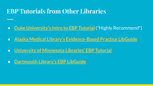## **EBP Tutorials from Other Libraries**

- **[Duke University's Intro to EBP Tutorial](https://guides.mclibrary.duke.edu/ebptutorial)** (\*Highly Recommend\*)
- **● [Alaska Medical Library's Evidence-Based Practice LibGuide](https://libguides.consortiumlibrary.org/c.php?g=847086&p=6056664)**
- **● [University of Minnesota Libraries' EBP Tutorial](https://researchguides.dartmouth.edu/c.php?g=944702&p=6810052)**
- **● [Dartmouth Library's EBP LibGuide](https://researchguides.dartmouth.edu/c.php?g=944702&p=6810052)**